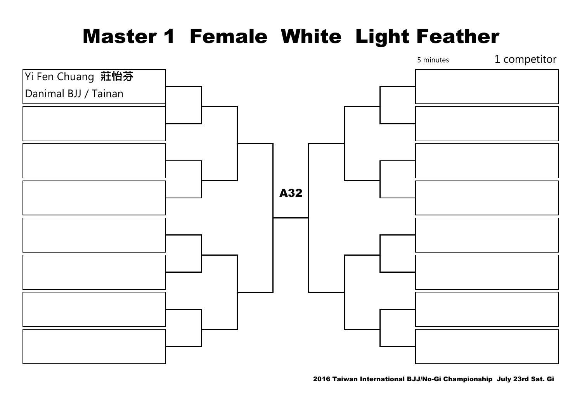# Master 1 Female White Light Feather

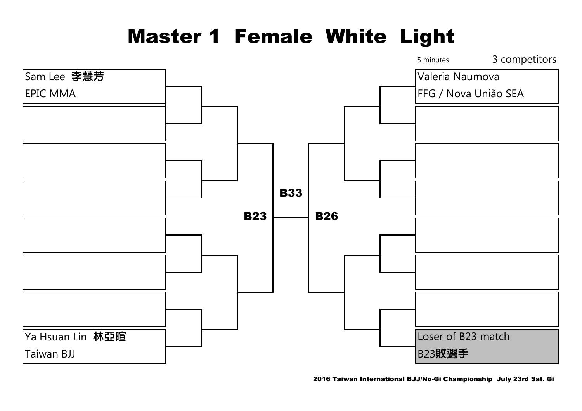#### Master 1 Female White Light

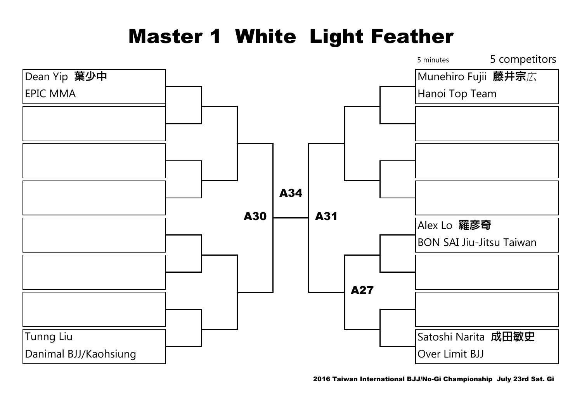# Master 1 White Light Feather

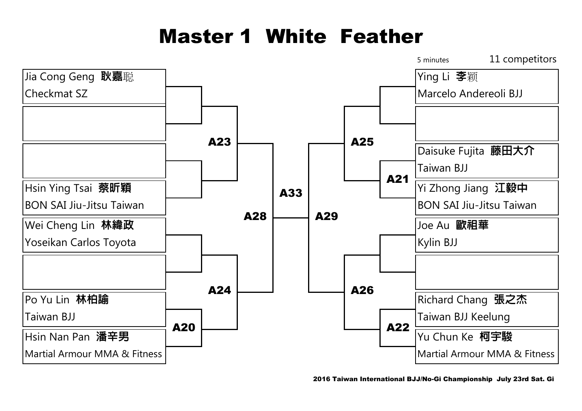# Master 1 White Feather

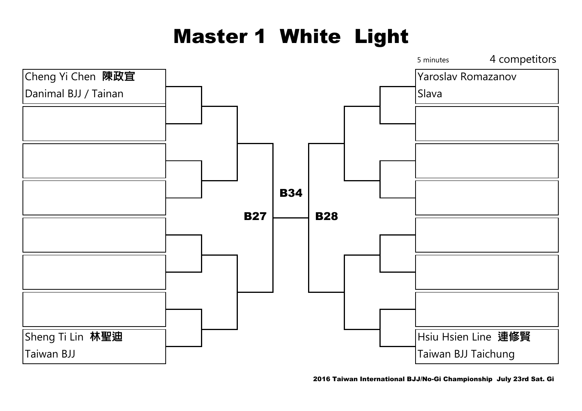# Master 1 White Light

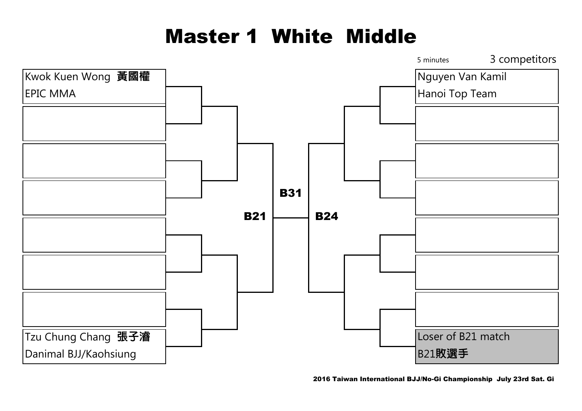# Master 1 White Middle

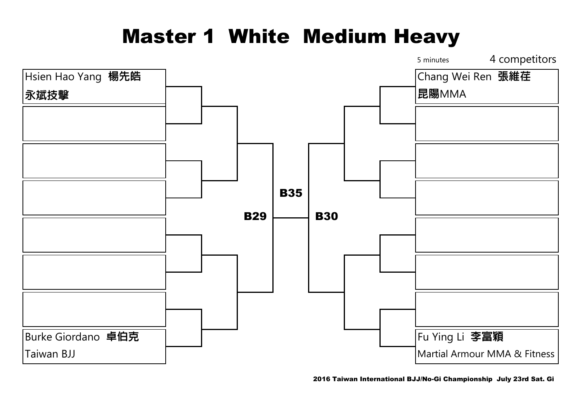## Master 1 White Medium Heavy